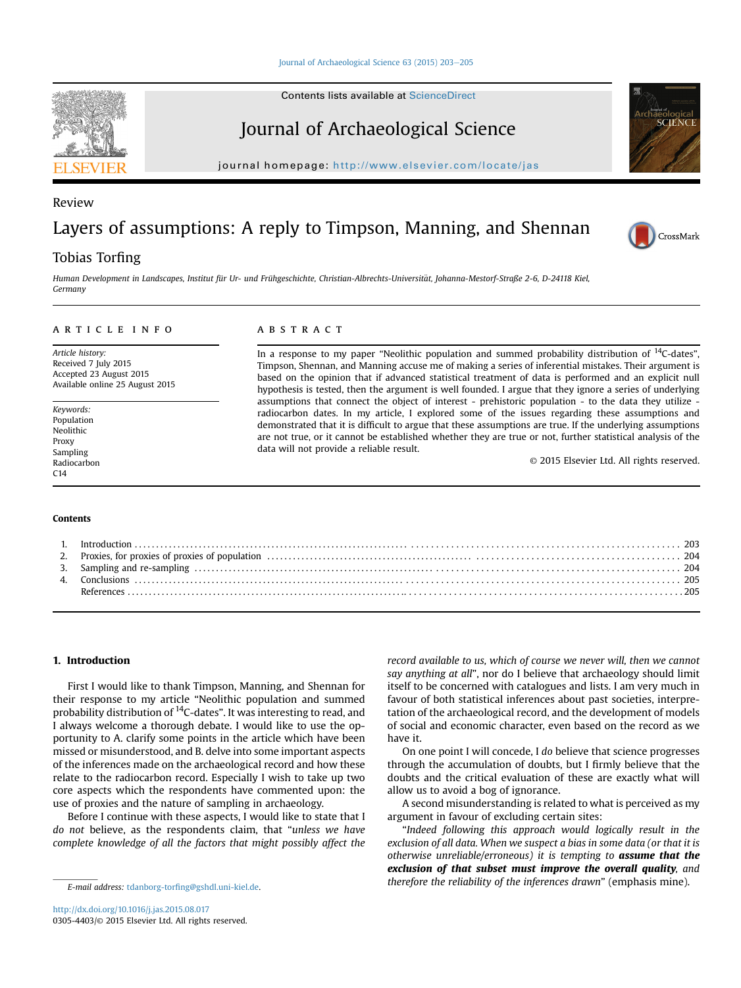Contents lists available at ScienceDirect

## Journal of Archaeological Science

journal homepage: <http://www.elsevier.com/locate/jas>

### Review

# Layers of assumptions: A reply to Timpson, Manning, and Shennan

### Tobias Torfing

Human Development in Landscapes, Institut für Ur- und Frühgeschichte, Christian-Albrechts-Universitat, Johanna-Mestorf-Straße 2-6, D-24118 Kiel, € Germany

#### article info

Article history: Received 7 July 2015 Accepted 23 August 2015 Available online 25 August 2015

Keywords: Population Neolithic Proxy Sampling Radiocarbon C14

#### Contents

#### ABSTRACT

In a response to my paper "Neolithic population and summed probability distribution of <sup>14</sup>C-dates", Timpson, Shennan, and Manning accuse me of making a series of inferential mistakes. Their argument is based on the opinion that if advanced statistical treatment of data is performed and an explicit null hypothesis is tested, then the argument is well founded. I argue that they ignore a series of underlying assumptions that connect the object of interest - prehistoric population - to the data they utilize radiocarbon dates. In my article, I explored some of the issues regarding these assumptions and demonstrated that it is difficult to argue that these assumptions are true. If the underlying assumptions are not true, or it cannot be established whether they are true or not, further statistical analysis of the data will not provide a reliable result.

© 2015 Elsevier Ltd. All rights reserved.

#### 1. Introduction

First I would like to thank Timpson, Manning, and Shennan for their response to my article "Neolithic population and summed probability distribution of <sup>14</sup>C-dates". It was interesting to read, and I always welcome a thorough debate. I would like to use the opportunity to A. clarify some points in the article which have been missed or misunderstood, and B. delve into some important aspects of the inferences made on the archaeological record and how these relate to the radiocarbon record. Especially I wish to take up two core aspects which the respondents have commented upon: the use of proxies and the nature of sampling in archaeology.

Before I continue with these aspects, I would like to state that I do not believe, as the respondents claim, that "unless we have complete knowledge of all the factors that might possibly affect the record available to us, which of course we never will, then we cannot say anything at all", nor do I believe that archaeology should limit itself to be concerned with catalogues and lists. I am very much in favour of both statistical inferences about past societies, interpretation of the archaeological record, and the development of models of social and economic character, even based on the record as we have it.

On one point I will concede, I do believe that science progresses through the accumulation of doubts, but I firmly believe that the doubts and the critical evaluation of these are exactly what will allow us to avoid a bog of ignorance.

A second misunderstanding is related to what is perceived as my argument in favour of excluding certain sites:

"Indeed following this approach would logically result in the exclusion of all data. When we suspect a bias in some data (or that it is otherwise unreliable/erroneous) it is tempting to **assume that the** exclusion of that subset must improve the overall quality, and therefore the reliability of the inferences drawn" (emphasis mine). E-mail address: tdanborg-torfi[ng@gshdl.uni-kiel.de](mailto:tdanborg-torfing@gshdl.uni-kiel.de).





**SCIENC**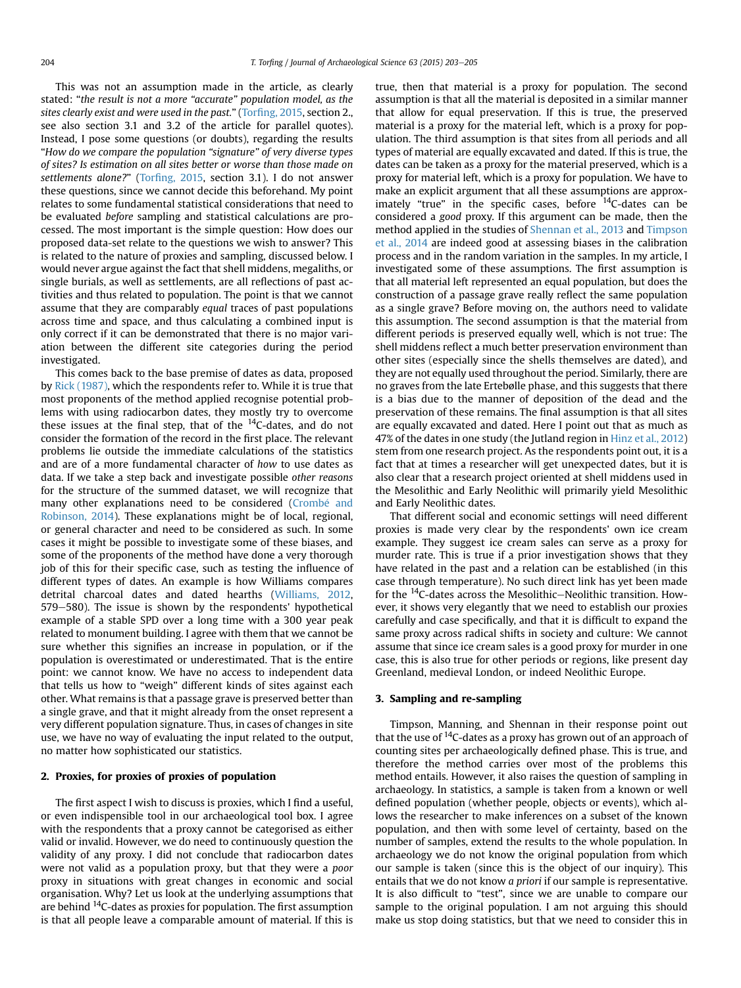This was not an assumption made in the article, as clearly stated: "the result is not a more "accurate" population model, as the sites clearly exist and were used in the past." (Torfi[ng, 2015](#page-2-0), section 2., see also section 3.1 and 3.2 of the article for parallel quotes). Instead, I pose some questions (or doubts), regarding the results "How do we compare the population "signature" of very diverse types of sites? Is estimation on all sites better or worse than those made on settlements alone?" (Torfi[ng, 2015](#page-2-0), section 3.1). I do not answer these questions, since we cannot decide this beforehand. My point relates to some fundamental statistical considerations that need to be evaluated before sampling and statistical calculations are processed. The most important is the simple question: How does our proposed data-set relate to the questions we wish to answer? This is related to the nature of proxies and sampling, discussed below. I would never argue against the fact that shell middens, megaliths, or single burials, as well as settlements, are all reflections of past activities and thus related to population. The point is that we cannot assume that they are comparably equal traces of past populations across time and space, and thus calculating a combined input is only correct if it can be demonstrated that there is no major variation between the different site categories during the period investigated.

This comes back to the base premise of dates as data, proposed by [Rick \(1987\)](#page-2-0), which the respondents refer to. While it is true that most proponents of the method applied recognise potential problems with using radiocarbon dates, they mostly try to overcome these issues at the final step, that of the  $^{14}$ C-dates, and do not consider the formation of the record in the first place. The relevant problems lie outside the immediate calculations of the statistics and are of a more fundamental character of how to use dates as data. If we take a step back and investigate possible other reasons for the structure of the summed dataset, we will recognize that many other explanations need to be considered (Crombé and [Robinson, 2014\)](#page-2-0). These explanations might be of local, regional, or general character and need to be considered as such. In some cases it might be possible to investigate some of these biases, and some of the proponents of the method have done a very thorough job of this for their specific case, such as testing the influence of different types of dates. An example is how Williams compares detrital charcoal dates and dated hearths ([Williams, 2012,](#page-2-0) 579-580). The issue is shown by the respondents' hypothetical example of a stable SPD over a long time with a 300 year peak related to monument building. I agree with them that we cannot be sure whether this signifies an increase in population, or if the population is overestimated or underestimated. That is the entire point: we cannot know. We have no access to independent data that tells us how to "weigh" different kinds of sites against each other. What remains is that a passage grave is preserved better than a single grave, and that it might already from the onset represent a very different population signature. Thus, in cases of changes in site use, we have no way of evaluating the input related to the output, no matter how sophisticated our statistics.

#### 2. Proxies, for proxies of proxies of population

The first aspect I wish to discuss is proxies, which I find a useful, or even indispensible tool in our archaeological tool box. I agree with the respondents that a proxy cannot be categorised as either valid or invalid. However, we do need to continuously question the validity of any proxy. I did not conclude that radiocarbon dates were not valid as a population proxy, but that they were a poor proxy in situations with great changes in economic and social organisation. Why? Let us look at the underlying assumptions that are behind 14C-dates as proxies for population. The first assumption is that all people leave a comparable amount of material. If this is true, then that material is a proxy for population. The second assumption is that all the material is deposited in a similar manner that allow for equal preservation. If this is true, the preserved material is a proxy for the material left, which is a proxy for population. The third assumption is that sites from all periods and all types of material are equally excavated and dated. If this is true, the dates can be taken as a proxy for the material preserved, which is a proxy for material left, which is a proxy for population. We have to make an explicit argument that all these assumptions are approximately "true" in the specific cases, before  $14C$ -dates can be considered a good proxy. If this argument can be made, then the method applied in the studies of [Shennan et al., 2013](#page-2-0) and [Timpson](#page-2-0) [et al., 2014](#page-2-0) are indeed good at assessing biases in the calibration process and in the random variation in the samples. In my article, I investigated some of these assumptions. The first assumption is that all material left represented an equal population, but does the construction of a passage grave really reflect the same population as a single grave? Before moving on, the authors need to validate this assumption. The second assumption is that the material from different periods is preserved equally well, which is not true: The shell middens reflect a much better preservation environment than other sites (especially since the shells themselves are dated), and they are not equally used throughout the period. Similarly, there are no graves from the late Ertebølle phase, and this suggests that there is a bias due to the manner of deposition of the dead and the preservation of these remains. The final assumption is that all sites are equally excavated and dated. Here I point out that as much as 47% of the dates in one study (the Jutland region in [Hinz et al., 2012\)](#page-2-0) stem from one research project. As the respondents point out, it is a fact that at times a researcher will get unexpected dates, but it is also clear that a research project oriented at shell middens used in the Mesolithic and Early Neolithic will primarily yield Mesolithic and Early Neolithic dates.

That different social and economic settings will need different proxies is made very clear by the respondents' own ice cream example. They suggest ice cream sales can serve as a proxy for murder rate. This is true if a prior investigation shows that they have related in the past and a relation can be established (in this case through temperature). No such direct link has yet been made for the  $^{14}$ C-dates across the Mesolithic-Neolithic transition. However, it shows very elegantly that we need to establish our proxies carefully and case specifically, and that it is difficult to expand the same proxy across radical shifts in society and culture: We cannot assume that since ice cream sales is a good proxy for murder in one case, this is also true for other periods or regions, like present day Greenland, medieval London, or indeed Neolithic Europe.

#### 3. Sampling and re-sampling

Timpson, Manning, and Shennan in their response point out that the use of  $^{14}$ C-dates as a proxy has grown out of an approach of counting sites per archaeologically defined phase. This is true, and therefore the method carries over most of the problems this method entails. However, it also raises the question of sampling in archaeology. In statistics, a sample is taken from a known or well defined population (whether people, objects or events), which allows the researcher to make inferences on a subset of the known population, and then with some level of certainty, based on the number of samples, extend the results to the whole population. In archaeology we do not know the original population from which our sample is taken (since this is the object of our inquiry). This entails that we do not know *a priori* if our sample is representative. It is also difficult to "test", since we are unable to compare our sample to the original population. I am not arguing this should make us stop doing statistics, but that we need to consider this in